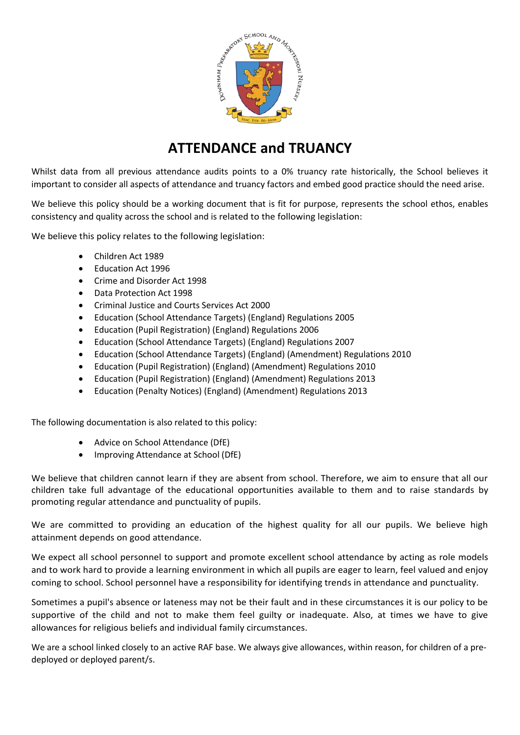

# **ATTENDANCE and TRUANCY**

Whilst data from all previous attendance audits points to a 0% truancy rate historically, the School believes it important to consider all aspects of attendance and truancy factors and embed good practice should the need arise.

We believe this policy should be a working document that is fit for purpose, represents the school ethos, enables consistency and quality across the school and is related to the following legislation:

We believe this policy relates to the following legislation:

- Children Act 1989
- Education Act 1996
- Crime and Disorder Act 1998
- Data Protection Act 1998
- Criminal Justice and Courts Services Act 2000
- Education (School Attendance Targets) (England) Regulations 2005
- Education (Pupil Registration) (England) Regulations 2006
- Education (School Attendance Targets) (England) Regulations 2007
- Education (School Attendance Targets) (England) (Amendment) Regulations 2010
- Education (Pupil Registration) (England) (Amendment) Regulations 2010
- Education (Pupil Registration) (England) (Amendment) Regulations 2013
- Education (Penalty Notices) (England) (Amendment) Regulations 2013

The following documentation is also related to this policy:

- Advice on School Attendance (DfE)
- Improving Attendance at School (DfE)

We believe that children cannot learn if they are absent from school. Therefore, we aim to ensure that all our children take full advantage of the educational opportunities available to them and to raise standards by promoting regular attendance and punctuality of pupils.

We are committed to providing an education of the highest quality for all our pupils. We believe high attainment depends on good attendance.

We expect all school personnel to support and promote excellent school attendance by acting as role models and to work hard to provide a learning environment in which all pupils are eager to learn, feel valued and enjoy coming to school. School personnel have a responsibility for identifying trends in attendance and punctuality.

Sometimes a pupil's absence or lateness may not be their fault and in these circumstances it is our policy to be supportive of the child and not to make them feel guilty or inadequate. Also, at times we have to give allowances for religious beliefs and individual family circumstances.

We are a school linked closely to an active RAF base. We always give allowances, within reason, for children of a predeployed or deployed parent/s.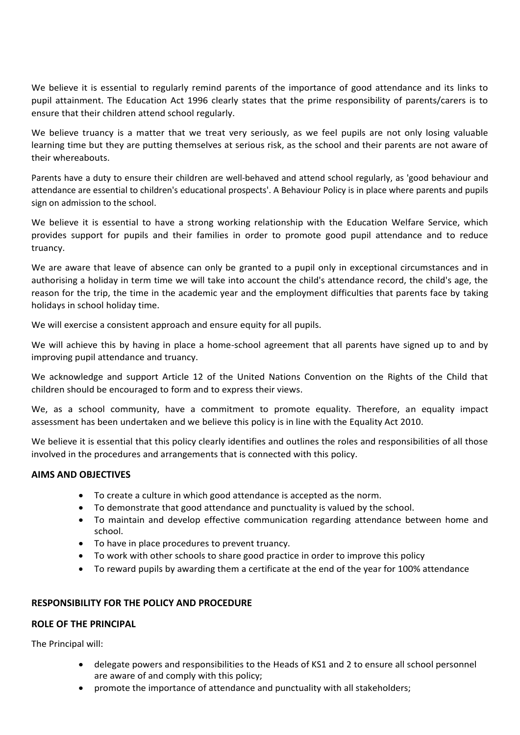We believe it is essential to regularly remind parents of the importance of good attendance and its links to pupil attainment. The Education Act 1996 clearly states that the prime responsibility of parents/carers is to ensure that their children attend school regularly.

We believe truancy is a matter that we treat very seriously, as we feel pupils are not only losing valuable learning time but they are putting themselves at serious risk, as the school and their parents are not aware of their whereabouts.

Parents have a duty to ensure their children are well-behaved and attend school regularly, as 'good behaviour and attendance are essential to children's educational prospects'. A Behaviour Policy is in place where parents and pupils sign on admission to the school.

We believe it is essential to have a strong working relationship with the Education Welfare Service, which provides support for pupils and their families in order to promote good pupil attendance and to reduce truancy.

We are aware that leave of absence can only be granted to a pupil only in exceptional circumstances and in authorising a holiday in term time we will take into account the child's attendance record, the child's age, the reason for the trip, the time in the academic year and the employment difficulties that parents face by taking holidays in school holiday time.

We will exercise a consistent approach and ensure equity for all pupils.

We will achieve this by having in place a home-school agreement that all parents have signed up to and by improving pupil attendance and truancy.

We acknowledge and support Article 12 of the United Nations Convention on the Rights of the Child that children should be encouraged to form and to express their views.

We, as a school community, have a commitment to promote equality. Therefore, an equality impact assessment has been undertaken and we believe this policy is in line with the Equality Act 2010.

We believe it is essential that this policy clearly identifies and outlines the roles and responsibilities of all those involved in the procedures and arrangements that is connected with this policy.

# **AIMS AND OBJECTIVES**

- To create a culture in which good attendance is accepted as the norm.
- To demonstrate that good attendance and punctuality is valued by the school.
- To maintain and develop effective communication regarding attendance between home and school.
- To have in place procedures to prevent truancy.
- To work with other schools to share good practice in order to improve this policy
- To reward pupils by awarding them a certificate at the end of the year for 100% attendance

## **RESPONSIBILITY FOR THE POLICY AND PROCEDURE**

## **ROLE OF THE PRINCIPAL**

The Principal will:

- delegate powers and responsibilities to the Heads of KS1 and 2 to ensure all school personnel are aware of and comply with this policy;
- promote the importance of attendance and punctuality with all stakeholders;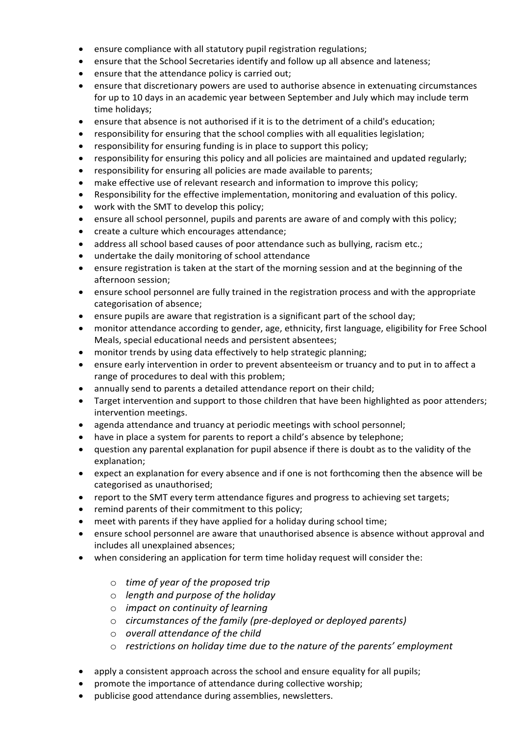- ensure compliance with all statutory pupil registration regulations;
- ensure that the School Secretaries identify and follow up all absence and lateness;
- ensure that the attendance policy is carried out;
- ensure that discretionary powers are used to authorise absence in extenuating circumstances for up to 10 days in an academic year between September and July which may include term time holidays;
- ensure that absence is not authorised if it is to the detriment of a child's education;
- responsibility for ensuring that the school complies with all equalities legislation;
- responsibility for ensuring funding is in place to support this policy;
- responsibility for ensuring this policy and all policies are maintained and updated regularly;
- responsibility for ensuring all policies are made available to parents;
- make effective use of relevant research and information to improve this policy;
- Responsibility for the effective implementation, monitoring and evaluation of this policy.
- work with the SMT to develop this policy;
- ensure all school personnel, pupils and parents are aware of and comply with this policy;
- create a culture which encourages attendance;
- address all school based causes of poor attendance such as bullying, racism etc.;
- undertake the daily monitoring of school attendance
- ensure registration is taken at the start of the morning session and at the beginning of the afternoon session;
- ensure school personnel are fully trained in the registration process and with the appropriate categorisation of absence;
- ensure pupils are aware that registration is a significant part of the school day;
- monitor attendance according to gender, age, ethnicity, first language, eligibility for Free School Meals, special educational needs and persistent absentees;
- monitor trends by using data effectively to help strategic planning;
- ensure early intervention in order to prevent absenteeism or truancy and to put in to affect a range of procedures to deal with this problem;
- annually send to parents a detailed attendance report on their child;
- Target intervention and support to those children that have been highlighted as poor attenders; intervention meetings.
- agenda attendance and truancy at periodic meetings with school personnel;
- have in place a system for parents to report a child's absence by telephone;
- question any parental explanation for pupil absence if there is doubt as to the validity of the explanation;
- expect an explanation for every absence and if one is not forthcoming then the absence will be categorised as unauthorised;
- report to the SMT every term attendance figures and progress to achieving set targets;
- remind parents of their commitment to this policy;
- meet with parents if they have applied for a holiday during school time;
- ensure school personnel are aware that unauthorised absence is absence without approval and includes all unexplained absences;
- when considering an application for term time holiday request will consider the:
	- o *time of year of the proposed trip*
	- o *length and purpose of the holiday*
	- o *impact on continuity of learning*
	- o *circumstances of the family (pre-deployed or deployed parents)*
	- o *overall attendance of the child*
	- o *restrictions on holiday time due to the nature of the parents' employment*
- apply a consistent approach across the school and ensure equality for all pupils;
- promote the importance of attendance during collective worship;
- publicise good attendance during assemblies, newsletters.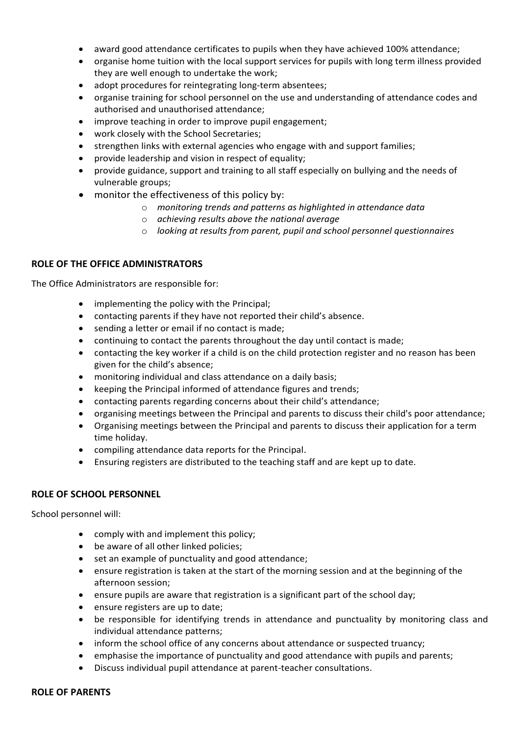- award good attendance certificates to pupils when they have achieved 100% attendance;
- organise home tuition with the local support services for pupils with long term illness provided they are well enough to undertake the work;
- adopt procedures for reintegrating long-term absentees;
- organise training for school personnel on the use and understanding of attendance codes and authorised and unauthorised attendance;
- improve teaching in order to improve pupil engagement;
- work closely with the School Secretaries;
- strengthen links with external agencies who engage with and support families;
- provide leadership and vision in respect of equality;
- provide guidance, support and training to all staff especially on bullying and the needs of vulnerable groups;
- monitor the effectiveness of this policy by:
	- o *monitoring trends and patterns as highlighted in attendance data*
	- o *achieving results above the national average*
	- o *looking at results from parent, pupil and school personnel questionnaires*

## **ROLE OF THE OFFICE ADMINISTRATORS**

The Office Administrators are responsible for:

- implementing the policy with the Principal;
- contacting parents if they have not reported their child's absence.
- sending a letter or email if no contact is made;
- continuing to contact the parents throughout the day until contact is made;
- contacting the key worker if a child is on the child protection register and no reason has been given for the child's absence;
- monitoring individual and class attendance on a daily basis;
- keeping the Principal informed of attendance figures and trends;
- contacting parents regarding concerns about their child's attendance;
- organising meetings between the Principal and parents to discuss their child's poor attendance;
- Organising meetings between the Principal and parents to discuss their application for a term time holiday.
- compiling attendance data reports for the Principal.
- Ensuring registers are distributed to the teaching staff and are kept up to date.

## **ROLE OF SCHOOL PERSONNEL**

School personnel will:

- comply with and implement this policy;
- be aware of all other linked policies;
- set an example of punctuality and good attendance;
- ensure registration is taken at the start of the morning session and at the beginning of the afternoon session;
- ensure pupils are aware that registration is a significant part of the school day;
- ensure registers are up to date;
- be responsible for identifying trends in attendance and punctuality by monitoring class and individual attendance patterns;
- inform the school office of any concerns about attendance or suspected truancy;
- emphasise the importance of punctuality and good attendance with pupils and parents;
- Discuss individual pupil attendance at parent-teacher consultations.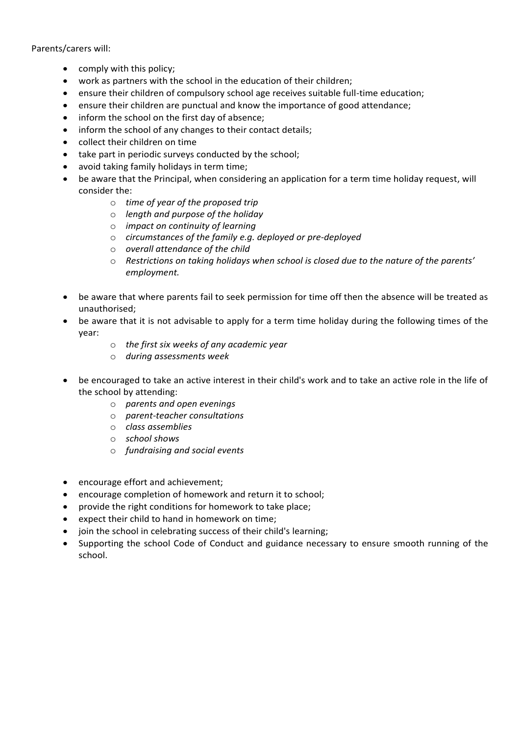## Parents/carers will:

- comply with this policy;
- work as partners with the school in the education of their children;
- ensure their children of compulsory school age receives suitable full-time education;
- ensure their children are punctual and know the importance of good attendance;
- inform the school on the first day of absence;
- inform the school of any changes to their contact details;
- collect their children on time
- take part in periodic surveys conducted by the school;
- avoid taking family holidays in term time;
- be aware that the Principal, when considering an application for a term time holiday request, will consider the:
	- o *time of year of the proposed trip*
	- o *length and purpose of the holiday*
	- o *impact on continuity of learning*
	- o *circumstances of the family e.g. deployed or pre-deployed*
	- o *overall attendance of the child*
	- o *Restrictions on taking holidays when school is closed due to the nature of the parents' employment.*
- be aware that where parents fail to seek permission for time off then the absence will be treated as unauthorised;
- be aware that it is not advisable to apply for a term time holiday during the following times of the year:
	- o *the first six weeks of any academic year*
	- o *during assessments week*
- be encouraged to take an active interest in their child's work and to take an active role in the life of the school by attending:
	- o *parents and open evenings*
	- o *parent-teacher consultations*
	- o *class assemblies*
	- o *school shows*
	- o *fundraising and social events*
- encourage effort and achievement;
- encourage completion of homework and return it to school;
- provide the right conditions for homework to take place;
- expect their child to hand in homework on time;
- join the school in celebrating success of their child's learning;
- Supporting the school Code of Conduct and guidance necessary to ensure smooth running of the school.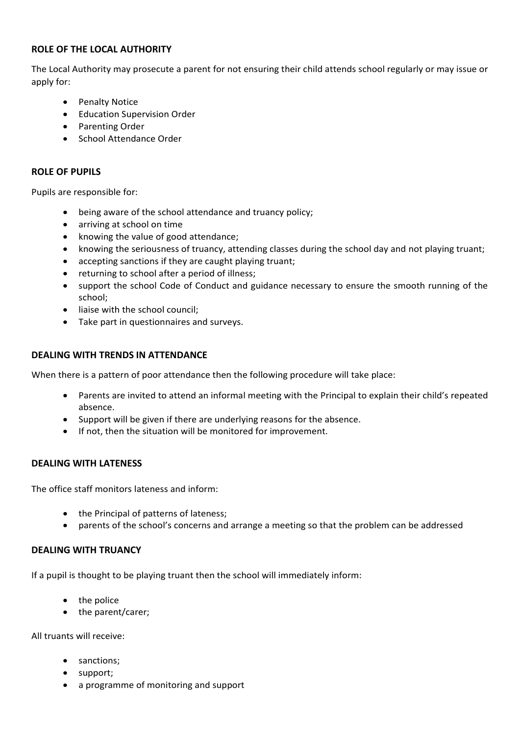# **ROLE OF THE LOCAL AUTHORITY**

The Local Authority may prosecute a parent for not ensuring their child attends school regularly or may issue or apply for:

- Penalty Notice
- **•** Education Supervision Order
- Parenting Order
- **•** School Attendance Order

# **ROLE OF PUPILS**

Pupils are responsible for:

- being aware of the school attendance and truancy policy;
- arriving at school on time
- knowing the value of good attendance;
- knowing the seriousness of truancy, attending classes during the school day and not playing truant;
- accepting sanctions if they are caught playing truant;
- returning to school after a period of illness;
- support the school Code of Conduct and guidance necessary to ensure the smooth running of the school;
- liaise with the school council;
- Take part in questionnaires and surveys.

# **DEALING WITH TRENDS IN ATTENDANCE**

When there is a pattern of poor attendance then the following procedure will take place:

- Parents are invited to attend an informal meeting with the Principal to explain their child's repeated absence.
- Support will be given if there are underlying reasons for the absence.
- If not, then the situation will be monitored for improvement.

# **DEALING WITH LATENESS**

The office staff monitors lateness and inform:

- the Principal of patterns of lateness;
- parents of the school's concerns and arrange a meeting so that the problem can be addressed

# **DEALING WITH TRUANCY**

If a pupil is thought to be playing truant then the school will immediately inform:

- the police
- the parent/carer;

All truants will receive:

- sanctions:
- support;
- a programme of monitoring and support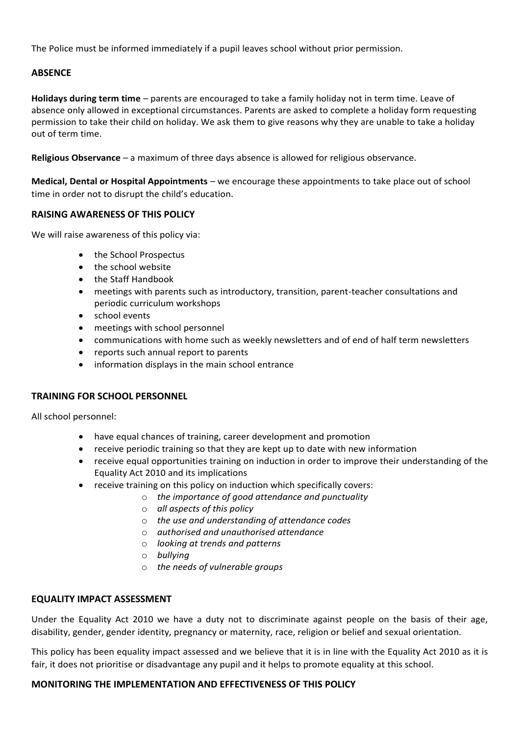The Police must be informed immediately if a pupil leaves school without prior permission.

# **ABSENCE**

**Holidays during term time** – parents are encouraged to take a family holiday not in term time. Leave of absence only allowed in exceptional circumstances. Parents are asked to complete a holiday form requesting permission to take their child on holiday. We ask them to give reasons why they are unable to take a holiday out of term time.

**Religious Observance** – a maximum of three days absence is allowed for religious observance.

**Medical, Dental or Hospital Appointments** – we encourage these appointments to take place out of school time in order not to disrupt the child's education.

# **RAISING AWARENESS OF THIS POLICY**

We will raise awareness of this policy via:

- the School Prospectus
- the school website
- the Staff Handbook
- meetings with parents such as introductory, transition, parent-teacher consultations and periodic curriculum workshops
- school events
- meetings with school personnel
- communications with home such as weekly newsletters and of end of half term newsletters
- reports such annual report to parents
- information displays in the main school entrance

## **TRAINING FOR SCHOOL PERSONNEL**

All school personnel:

- have equal chances of training, career development and promotion
- receive periodic training so that they are kept up to date with new information
- receive equal opportunities training on induction in order to improve their understanding of the Equality Act 2010 and its implications
- receive training on this policy on induction which specifically covers:
	- o *the importance of good attendance and punctuality*
	- o *all aspects of this policy*
	- o *the use and understanding of attendance codes*
	- o *authorised and unauthorised attendance*
	- o *looking at trends and patterns*
	- o *bullying*
	- o *the needs of vulnerable groups*

## **EQUALITY IMPACT ASSESSMENT**

Under the Equality Act 2010 we have a duty not to discriminate against people on the basis of their age, disability, gender, gender identity, pregnancy or maternity, race, religion or belief and sexual orientation.

This policy has been equality impact assessed and we believe that it is in line with the Equality Act 2010 as it is fair, it does not prioritise or disadvantage any pupil and it helps to promote equality at this school.

# **MONITORING THE IMPLEMENTATION AND EFFECTIVENESS OF THIS POLICY**